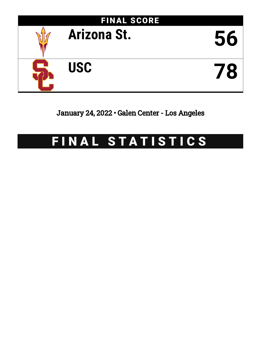

January 24, 2022 • Galen Center - Los Angeles

# FINAL STATISTICS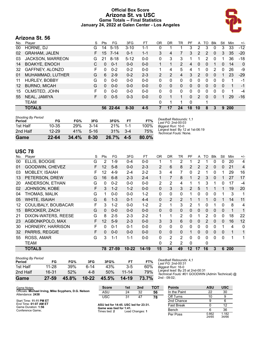### **Official Box Score Arizona St. vs USC Game Totals -- Final Statistics January 24, 2022 at Galen Center - Los Angeles**



## **Arizona St. 56**

| No.     | Plaver                  | S  | Pts             | FG       | 3FG      | FT      | OR | DR           | TR | PF       | A              | TO       | <b>BIK</b>   | Stl      | Min        | $+/-$        |
|---------|-------------------------|----|-----------------|----------|----------|---------|----|--------------|----|----------|----------------|----------|--------------|----------|------------|--------------|
| 00      | HORNE, DJ               | G  | 14              | $5 - 15$ | $3 - 10$ | $1 - 1$ | 0  | 1            |    | 3        | 2              | 3        | 0            | 3        | 33         | $-12$        |
| 02      | <b>GRAHAM, JALEN</b>    | F. | 15 <sup>1</sup> | $7 - 14$ | $0 - 1$  | $1 - 1$ | 3  | 4            | 7  | 3        | $\overline{2}$ | 2        | $\mathbf{0}$ | 3        | 35         | $-20$        |
| 03      | <b>JACKSON, MARREON</b> | G  | 21              | $8 - 18$ | $5 - 12$ | $0 - 0$ | 0  | 3            | 3  |          |                | 2        | 0            | 1        | 36         | $-18$        |
| 14      | <b>BOAKYE, ENOCH</b>    | C  | $\Omega$        | $0 - 1$  | $0 - 0$  | $0 - 0$ |    | $\mathbf{1}$ | 2  | 4        | $\mathbf{0}$   | $\Omega$ | 1            | $\Omega$ | 14         | $\mathbf{0}$ |
| 32      | GAFFNEY, ALONZO         | F  | 0               | $0 - 2$  | $0 - 2$  | $0 - 0$ |    | 4            | 5  | 4        |                | 0        | 2            | 0        | 26         | -9           |
| 01      | MUHAMMAD, LUTHER        | G  | 6               | $2-9$    | $0 - 2$  | $2 - 3$ | 2  | 2            | 4  | 3        | 2              | $\Omega$ | $\Omega$     |          | 23         | $-29$        |
| 11      | HURLEY, BOBBY           | G  | $\Omega$        | $0 - 0$  | $0 - 0$  | $0 - 0$ | 0  | 0            | 0  | 0        | 0              | 0        | $\Omega$     | 0        | 1          | -1           |
| $12 \,$ | <b>BURNO, MICAH</b>     | G  | $\Omega$        | $0 - 0$  | $0 - 0$  | $0 - 0$ | 0  | $\Omega$     | 0  | 0        | $\mathbf{0}$   | $\Omega$ | $\Omega$     | $\Omega$ | 1          | -1           |
| 15      | OLMSTED, JOHN           | F  | $\Omega$        | $0 - 0$  | $0 - 0$  | $0 - 0$ | 0  | 0            | 0  | 0        | 0              | 0        | 0            | 0        | 1          | $-4$         |
| 55      | NEAL, JAMIYA            | F. | $\Omega$        | $0 - 5$  | $0 - 3$  | $0 - 0$ | 0  | 1            | 1  | 0        | $\overline{2}$ | $\Omega$ | $\Omega$     | 1        | 29         | $-16$        |
|         | <b>TEAM</b>             |    |                 |          |          |         | 0  | 1            |    | $\Omega$ |                | 1        |              |          |            |              |
|         | <b>TOTALS</b>           |    | 56              | 22-64    | $8 - 30$ | $4 - 5$ |    | 17           | 24 | 18       | 10             | 8        | 3            | 9        | <b>200</b> |              |
|         |                         |    |                 |          |          |         |    |              |    |          |                |          |              |          |            |              |

| <b>Shooting By Period</b><br>Period | FG        | FG%        | 3FG      | 3FG%     | FT      | FT%   | Deadball Rebounds: 1,1<br>Last FG: 2nd-00:03               |
|-------------------------------------|-----------|------------|----------|----------|---------|-------|------------------------------------------------------------|
| 1st Half                            | 10-35     | <b>29%</b> | $3 - 14$ | 21%      | $1 - 1$ | 100%  | Biggest Run: 10-0                                          |
| 2nd Half                            | $12 - 29$ | 41%        | $5 - 16$ | 31%      | $-3-4$  | 75%   | Largest lead: By 12 at 1st-06:19<br>Technical Fouls: None. |
| Game                                | $22 - 64$ | 34.4%      | $8 - 30$ | $26.7\%$ | $4 - 5$ | 80.0% |                                                            |

# **USC 78**

| No. | Player                   | S | <b>Pts</b>      | FG       | 3FG       | <b>FT</b> | 0 <sub>R</sub> | <b>DR</b>      | TR             | <b>PF</b> | A              | TO | <b>Blk</b>   | Stl      | Min         | $+/-$        |
|-----|--------------------------|---|-----------------|----------|-----------|-----------|----------------|----------------|----------------|-----------|----------------|----|--------------|----------|-------------|--------------|
| 00  | ELLIS, BOOGIE            | G | 2               | 1-9      | $0 - 4$   | $0-0$     |                |                | 2              |           | 2              |    | 0            | 0        | 20          | 4            |
| 01  | GOODWIN, CHEVEZ          | F | 12              | $5 - 8$  | $0 - 0$   | $2 - 3$   | 2              | 6              | 8              | 2         | 2              | 2  | 0            | 0        | 21          | 4            |
| 03  | MOBLEY, ISAIAH           | F | 12              | $4 - 9$  | $2 - 4$   | $2 - 2$   | 3              | 4              | 7              | 0         | 2              |    | 0            |          | 29          | 16           |
| 13  | PETERSON, DREW           | G | 16              | $6 - 8$  | $2 - 3$   | $2 - 4$   | 1              | 7              | 8              |           | $\overline{2}$ | 3  | $\mathbf{0}$ |          | 27          | 17           |
| 20  | ANDERSON, ETHAN          | G | $\Omega$        | $0 - 2$  | $0 - 0$   | $0 - 0$   | 2              | 2              | 4              |           | 1              | 3  |              | 0        | 17          | $-4$         |
| 02  | JOHNSON, KOBE            | F | 3               | $1 - 2$  | $1 - 2$   | $0 - 0$   | $\Omega$       | 3              | 3              | 2         | 5              | 1  |              | 1        | 19          | 20           |
| 04  | THOMAS, MALIK            | G | 1               | $0 - 0$  | $0 - 0$   | $1 - 2$   | $\Omega$       | 0              | $\Omega$       |           | $\Omega$       | 0  | $\Omega$     |          | 3           | 1            |
| 05  | <b>WHITE, ISAIAH</b>     | G | 6               | $1 - 3$  | $0 - 1$   | $4 - 4$   | $\mathbf{0}$   | $\overline{2}$ | $\overline{2}$ |           | 1              | 1  | 0            |          | 14          | 11           |
| 12  | COULIBALY, BOUBACAR      | F | 3               | $1-2$    | $0 - 0$   | $1 - 2$   | 2              | 1              | 3              | 2         | 1              | 0  |              | 0        | 8           | 4            |
| 15  | <b>BROOKER, ZACH</b>     | G | 0               | $0 - 0$  | $0 - 0$   | $0 - 0$   | $\Omega$       | 0              | $\mathbf{0}$   | 0         | 0              | 0  | 0            | 0        | $\mathbf 1$ | 1            |
| 21  | DIXON-WATERS, REESE      | G | 8               | $2 - 5$  | $2 - 3$   | $2 - 2$   | $\mathbf{1}$   | 1              | $\overline{2}$ | 0         | 1              | 2  | 0            | 0        | 18          | 22           |
| 23  | AGBONKPOLO, MAX          | F | 12 <sup>°</sup> | $5-9$    | $2 - 3$   | $0 - 0$   | 3              | 3              | 6              | 0         | $\Omega$       | 2  | 0            | 0        | 16          | 12           |
| 30  | <b>HORNERY, HARRISON</b> | F | 0               | $0 - 1$  | $0 - 1$   | $0-0$     | $\Omega$       | 0              | $\mathbf{0}$   | 0         | 0              | 0  | $\Omega$     |          | 4           | 0            |
| 32  | PARRIS, REGGIE           | F | 0               | $0 - 0$  | $0 - 0$   | $0 - 0$   | $\Omega$       | 0              | $\Omega$       |           | $\Omega$       | 0  | $\mathbf{0}$ | $\Omega$ | 1           | $\mathbf{1}$ |
| 55  | ROSS, AMAR               | G | 3               | $1 - 1$  | $1 - 1$   | $0 - 0$   | $\Omega$       | $\overline{2}$ | $\overline{2}$ | $\Omega$  | $\Omega$       | 0  | 0            | $\Omega$ |             | 1            |
|     | TEAM                     |   |                 |          |           |           | 0              | 2              | 2              | 0         |                | 0  |              |          |             |              |
|     | <b>TOTALS</b>            |   |                 | 78 27-59 | $10 - 22$ | $14 - 19$ | 15             | 34             | 49             | 12        | 17             | 16 | 3            |          | 6 200       |              |

| Game                                | $27 - 59$ | 45.8% | $10 - 22$ | 45.5% | 14-19     | 73.7% |
|-------------------------------------|-----------|-------|-----------|-------|-----------|-------|
| 2nd Half                            | 16-31     | 52%   | 4-8       | 50%   | $11 - 14$ | 79%   |
| 1st Half                            | $11 - 28$ | 39%   | հ-14      | 43%   | $3-5$     | 60%   |
| <b>Shooting By Period</b><br>Period | FG        | FG%   | 3FG       | 3FG%  | FТ        | FT%   |

*Deadball Rebounds:* 4,1 *Last FG:* 2nd-00:31 *Biggest Run:* 16-0 *Largest lead:* By 25 at 2nd-00:31 *Technical Fouls:* #01 GOODWIN (Admin Technical) @ 2nd - 09:02;

| Game Notes:                                                               | <b>Score</b>                             | 1st | 2nd             | тот | <b>Points</b>     | ASU            | <b>USC</b>     |
|---------------------------------------------------------------------------|------------------------------------------|-----|-----------------|-----|-------------------|----------------|----------------|
| Officials: Michael Irving, Mike Scyphers, D.G. Nelson<br>Attendance: 2438 | ASU                                      | 24  | 32              | 56  | In the Paint      | 22             | 30             |
|                                                                           | USC                                      | 31  | 47              | 78  | Off Turns         | 10             |                |
| Start Time: 11:11 PM ET                                                   |                                          |     |                 |     | 2nd Chance        |                |                |
| End Time: 01:07 AM ET<br>Game Duration: 1:56                              | ASU led for 14:45. USC led for 23:31.    |     |                 |     | <b>Fast Break</b> |                | 12             |
| Conference Game:                                                          | Game was tied for 1:41.<br>Times tied: 2 |     | Lead Changes: 1 |     | Bench             |                | 36             |
|                                                                           |                                          |     |                 |     | Per Poss          | 0.862<br>24/65 | 1.182<br>34/66 |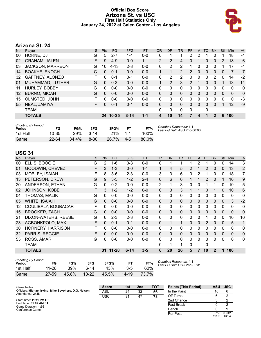### **Official Box Score Arizona St. vs USC First Half Statistics Only January 24, 2022 at Galen Center - Los Angeles**



# **Arizona St. 24**

| No.               | Player               | S  | <b>Pts</b> | FG       | 3FG      | <b>FT</b> | <b>OR</b>      | <b>DR</b> | <b>TR</b>      | PF            | A        | <b>TO</b> | <b>Blk</b>   | Stl | Min          | $+/-$        |
|-------------------|----------------------|----|------------|----------|----------|-----------|----------------|-----------|----------------|---------------|----------|-----------|--------------|-----|--------------|--------------|
| 00                | HORNE, DJ            | G  | 5          | 2-7      | $1 - 4$  | $0-0$     | 0              |           |                | 2             | 2        |           |              |     | 18           | $-4$         |
| 02                | <b>GRAHAM, JALEN</b> | F. | 9          | $4-9$    | $0 - 0$  | $1 - 1$   | $\overline{2}$ | 2         | 4              | 0             |          | 0         | 0            | 2   | 18           | $-6$         |
| 03                | JACKSON, MARREON     | G  | 10         | $4 - 13$ | $2 - 8$  | $0 - 0$   | 0              | 2         | 2              |               | 0        | 0         | 0            |     | 17           | -4           |
| 14                | <b>BOAKYE, ENOCH</b> | C  | 0          | $0 - 1$  | $0 - 0$  | $0 - 0$   |                | 1         | $\overline{2}$ | $\mathcal{P}$ | 0        | $\Omega$  | $\mathbf{0}$ | 0   | 7            | 7            |
| 32                | GAFFNEY, ALONZO      | F. | 0          | $0 - 1$  | $0 - 1$  | $0 - 0$   | 0              | 2         | 2              | 0             | 0        | 0         | 2            | 0   | 14           | $-2$         |
| 01                | MUHAMMAD, LUTHER     | G  | $\Omega$   | $0 - 3$  | $0 - 0$  | $0 - 0$   |                | 2         | 3              | 2             |          | 0         | $\Omega$     |     | 13           | $-14$        |
| 11                | <b>HURLEY, BOBBY</b> | G  | 0          | $0 - 0$  | $0 - 0$  | $0 - 0$   | 0              | 0         | $\Omega$       | 0             | 0        | 0         | 0            | 0   | 0            | $\mathbf{0}$ |
| $12 \overline{ }$ | <b>BURNO, MICAH</b>  | G  | $\Omega$   | $0 - 0$  | $0 - 0$  | $0 - 0$   | 0              | 0         | $\Omega$       | 0             | 0        | $\Omega$  | $\Omega$     | 0   | $\mathbf{0}$ | 0            |
| 15                | OLMSTED, JOHN        | F. | 0          | $0 - 0$  | $0 - 0$  | $0 - 0$   | 0              | 0         | $\Omega$       | 0             | 0        | 0         | 0            | 0   | $\Omega$     | -3           |
| 55                | NEAL, JAMIYA         | F. | $\Omega$   | $0 - 1$  | $0 - 1$  | $0 - 0$   | $\Omega$       | $\Omega$  | $\Omega$       | $\Omega$      | $\Omega$ | $\Omega$  | $\Omega$     | 1   | 12           | $-9$         |
|                   | <b>TEAM</b>          |    |            |          |          |           | 0              | 0         | $\Omega$       | $\mathbf{0}$  |          | 0         |              |     |              |              |
|                   | <b>TOTALS</b>        |    |            | 24 10-35 | $3 - 14$ | 1-1       | 4              | 10        | 14             |               | 4        | 1         | 2            | 6   | 100          |              |
|                   |                      |    |            |          |          |           |                |           |                |               |          |           |              |     |              |              |

| <b>Shooting By Period</b><br>Period | FG        | FG%   | 3FG      | 3FG%  | <b>FT</b> | FT%      | Deadball Rebounds: 1,1<br>Last FG Half: ASU 2nd-00:03 |
|-------------------------------------|-----------|-------|----------|-------|-----------|----------|-------------------------------------------------------|
| 1st Half                            | 10-35     | 29%   | $3 - 14$ | 21%   | 1.1       | 100%     |                                                       |
| Game                                | $22 - 64$ | 34.4% | $8 - 30$ | 26.7% | $4-5$     | $80.0\%$ |                                                       |

# **USC 31**

| No. | Player                   | S | <b>Pts</b> | FG       | 3FG      | <b>FT</b> | <b>OR</b>      | <b>DR</b>    | TR           | PF           | A        | <b>TO</b> | <b>Blk</b>   | Stl          | Min          | $+/-$          |
|-----|--------------------------|---|------------|----------|----------|-----------|----------------|--------------|--------------|--------------|----------|-----------|--------------|--------------|--------------|----------------|
| 00  | ELLIS, BOOGIE            | G | 2          | 1-6      | $0 - 3$  | $0 - 0$   | 0              |              |              |              | 2        |           | 0            | 0            | 14           | 3              |
| 01  | GOODWIN, CHEVEZ          | F | 3          | $1 - 3$  | $0 - 0$  | $1 - 1$   | 1              | 4            | 5            | 2            |          | 2         | $\mathbf{0}$ | 0            | 13           | 2              |
| 03  | MOBLEY, ISAIAH           | F | 8          | $3-6$    | $2 - 3$  | $0 - 0$   | 3              | 3            | 6            | 0            | 2        |           | 0            | 0            | 18           | $\overline{7}$ |
| 13  | PETERSON, DREW           | G | 9          | $3-5$    | $1 - 2$  | $2 - 4$   | $\Omega$       | 6            | 6            |              | 1        | 2         | $\mathbf{0}$ |              | 16           | 9              |
| 20  | ANDERSON, ETHAN          | G | 0          | $0 - 2$  | $0 - 0$  | $0 - 0$   | $\overline{2}$ | 1            | 3            | $\mathbf{0}$ | 0        |           |              | 0            | 10           | $-5$           |
| 02  | JOHNSON, KOBE            | F | 3          | $1 - 2$  | $1 - 2$  | $0 - 0$   | $\Omega$       | 3            | 3            |              | 1        | 0         |              | $\Omega$     | 10           | 6              |
| 04  | THOMAS, MALIK            | G | 0          | $0 - 0$  | $0 - 0$  | $0 - 0$   | $\Omega$       | $\mathbf{0}$ | $\Omega$     | $\Omega$     | 0        | 0         | $\mathbf{0}$ | $\Omega$     | $\mathbf{0}$ | $\mathbf{0}$   |
| 05  | <b>WHITE, ISAIAH</b>     | G | 0          | $0 - 0$  | $0 - 0$  | $0 - 0$   | $\Omega$       | $\Omega$     | $\mathbf{0}$ | $\Omega$     | $\Omega$ | 0         | $\mathbf{0}$ | $\Omega$     | 3            | $-2$           |
| 12  | COULIBALY, BOUBACAR      | F | 0          | $0-0$    | $0-0$    | $0 - 0$   | $\mathbf{0}$   | 0            | $\mathbf{0}$ | 0            | 0        | 0         | 0            | $\Omega$     | 0            | 0              |
| 15  | <b>BROOKER, ZACH</b>     | G | 0          | $0 - 0$  | $0 - 0$  | $0 - 0$   | $\mathbf{0}$   | 0            | $\mathbf{0}$ | 0            | 0        | 0         | 0            | 0            | $\mathbf 0$  | 0              |
| 21  | DIXON-WATERS, REESE      | G | 6          | $2 - 3$  | $2 - 3$  | $0 - 0$   | $\Omega$       | 0            | $\mathbf{0}$ | 0            | 0        |           | $\Omega$     | 0            | 10           | 16             |
| 23  | AGBONKPOLO, MAX          | F | 0          | $0 - 1$  | $0 - 1$  | $0 - 0$   | $\Omega$       | 1            | 1            | $\Omega$     | $\Omega$ | 2         | $\Omega$     | $\Omega$     | 5            | $-1$           |
| 30  | <b>HORNERY, HARRISON</b> | F | 0          | $0 - 0$  | $0 - 0$  | $0 - 0$   | $\Omega$       | $\mathbf{0}$ | $\mathbf{0}$ | 0            | 0        | 0         | $\Omega$     | $\Omega$     | $\mathbf{0}$ | 0              |
| 32  | PARRIS, REGGIE           | F | 0          | $0-0$    | $0-0$    | $0-0$     | $\Omega$       | $\mathbf{0}$ | $\mathbf{0}$ | $\Omega$     | $\Omega$ | 0         | $\mathbf{0}$ | $\mathbf{0}$ | $\mathbf{0}$ | 0              |
| 55  | ROSS, AMAR               | G | 0          | $0-0$    | $0-0$    | $0 - 0$   | 0              | $\Omega$     | $\Omega$     | $\Omega$     | $\Omega$ | 0         | $\Omega$     | $\Omega$     | $\mathbf{0}$ | 0              |
|     | TEAM                     |   |            |          |          |           | 0              |              | 1            | 0            |          | 0         |              |              |              |                |
|     | <b>TOTALS</b>            |   |            | 31 11-28 | $6 - 14$ | $3 - 5$   | 6              | 20           | 26           | 5            | 7        | 10        | $\mathbf 2$  | 1            | 100          |                |

| Shooting By Period |           |       |           |       |           |       |
|--------------------|-----------|-------|-----------|-------|-----------|-------|
| Period             | FG        | FG%   | 3FG       | 3FG%  | FТ        | FT%   |
| 1st Half           | $11 - 28$ | 39%   | հ-14      | 43%   | $3-5$     | 60%   |
| Game               | 27-59     | 45.8% | $10 - 22$ | 45.5% | $14 - 19$ | 73.7% |

*Deadball Rebounds:* 4,1 *Last FG Half:* USC 2nd-00:31

| Game Notes:                                                               | <b>Score</b> | 1st | 2 <sub>nd</sub> | TOT | <b>Points (This Period)</b> | <b>ASU</b>     | <b>USC</b>     |
|---------------------------------------------------------------------------|--------------|-----|-----------------|-----|-----------------------------|----------------|----------------|
| Officials: Michael Irving, Mike Scyphers, D.G. Nelson<br>Attendance: 2438 | ASU          | 24  | 32              | 56  | In the Paint                | 10             |                |
|                                                                           | <b>USC</b>   | 31  | 47              | 78  | Off Turns                   |                |                |
| Start Time: 11:11 PM ET                                                   |              |     |                 |     | 2nd Chance                  |                |                |
| End Time: 01:07 AM ET<br>Game Duration: 1:56                              |              |     |                 |     | <b>Fast Break</b>           |                |                |
| Conference Game:                                                          |              |     |                 |     | Bench                       |                |                |
|                                                                           |              |     |                 |     | Per Poss                    | 0.750<br>11/32 | 0.912<br>13/34 |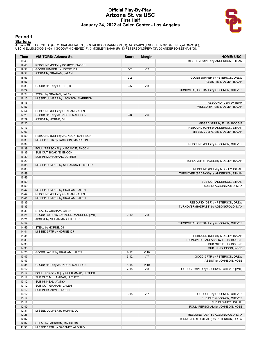#### **Official Play-By-Play Arizona St. vs USC First Half January 24, 2022 at Galen Center - Los Angeles**



#### **Period 1**

<mark>Starters:</mark><br>Arizona St.: 0 HORNE,DJ (G); 2 GRAHAM,JALEN (F); 3 JACKSON,MARREON (G); 14 BOAKYE,ENOCH (C); 32 GAFFNEY,ALONZO (F);<br>USC: 0 ELLIS,BOOGIE (G); 1 GOODWIN,CHEVEZ (F); 3 MOBLEY,ISAIAH (F); 13 PETERSON,DREW (G); 20 A

| Time  | <b>VISITORS: Arizona St.</b>          | <b>Score</b> | <b>Margin</b>  | <b>HOME: USC</b>                       |
|-------|---------------------------------------|--------------|----------------|----------------------------------------|
| 19:46 |                                       |              |                | MISSED JUMPER by ANDERSON, ETHAN       |
| 19:43 | REBOUND (DEF) by BOAKYE, ENOCH        |              |                |                                        |
| 19:31 | GOOD! JUMPER by HORNE, DJ             | $0 - 2$      | V <sub>2</sub> |                                        |
| 19:31 | ASSIST by GRAHAM, JALEN               |              |                |                                        |
| 18:57 |                                       | $2 - 2$      | т              | GOOD! JUMPER by PETERSON, DREW         |
| 18:57 |                                       |              |                | ASSIST by MOBLEY, ISAIAH               |
| 18:36 | GOOD! 3PTR by HORNE, DJ               | $2 - 5$      | $V_3$          |                                        |
| 18:24 |                                       |              |                | TURNOVER (LOSTBALL) by GOODWIN, CHEVEZ |
| 18:24 | STEAL by GRAHAM, JALEN                |              |                |                                        |
| 18:15 | MISSED JUMPER by JACKSON, MARREON     |              |                |                                        |
| 18:15 |                                       |              |                | REBOUND (DEF) by TEAM                  |
| 17:57 |                                       |              |                | MISSED 3PTR by MOBLEY, ISAIAH          |
| 17:54 | REBOUND (DEF) by GRAHAM, JALEN        |              |                |                                        |
| 17:29 | GOOD! 3PTR by JACKSON, MARREON        | $2 - 8$      | $V_6$          |                                        |
| 17:29 | ASSIST by HORNE, DJ                   |              |                |                                        |
| 17:20 |                                       |              |                | MISSED 3PTR by ELLIS, BOOGIE           |
| 17:17 |                                       |              |                | REBOUND (OFF) by ANDERSON, ETHAN       |
| 17:03 |                                       |              |                | MISSED JUMPER by MOBLEY, ISAIAH        |
| 16:59 | REBOUND (DEF) by JACKSON, MARREON     |              |                |                                        |
| 16:39 | MISSED 3PTR by JACKSON, MARREON       |              |                |                                        |
| 16:39 |                                       |              |                |                                        |
|       |                                       |              |                | REBOUND (DEF) by GOODWIN, CHEVEZ       |
| 16:39 | FOUL (PERSONAL) by BOAKYE, ENOCH      |              |                |                                        |
| 16:39 | SUB OUT: BOAKYE, ENOCH                |              |                |                                        |
| 16:39 | SUB IN: MUHAMMAD, LUTHER              |              |                |                                        |
| 16:20 |                                       |              |                | TURNOVER (TRAVEL) by MOBLEY, ISAIAH    |
| 16:05 | MISSED JUMPER by MUHAMMAD, LUTHER     |              |                |                                        |
| 16:03 |                                       |              |                | REBOUND (DEF) by MOBLEY, ISAIAH        |
| 15:59 |                                       |              |                | TURNOVER (BADPASS) by ANDERSON, ETHAN  |
| 15:59 |                                       |              |                |                                        |
| 15:59 |                                       |              |                | SUB OUT: ANDERSON, ETHAN               |
| 15:59 |                                       |              |                | SUB IN: AGBONKPOLO, MAX                |
| 15:47 | MISSED JUMPER by GRAHAM, JALEN        |              |                |                                        |
| 15:44 | REBOUND (OFF) by GRAHAM, JALEN        |              |                |                                        |
| 15:41 | MISSED JUMPER by GRAHAM, JALEN        |              |                |                                        |
| 15:39 |                                       |              |                | REBOUND (DEF) by PETERSON, DREW        |
| 15:33 |                                       |              |                | TURNOVER (BADPASS) by AGBONKPOLO, MAX  |
| 15:33 | STEAL by GRAHAM, JALEN                |              |                |                                        |
| 15:21 | GOOD! LAYUP by JACKSON, MARREON [PNT] | $2 - 10$     | V8             |                                        |
| 15:21 | ASSIST by MUHAMMAD, LUTHER            |              |                |                                        |
| 14:59 |                                       |              |                | TURNOVER (LOSTBALL) by GOODWIN, CHEVEZ |
| 14:59 | STEAL by HORNE, DJ                    |              |                |                                        |
| 14:41 | MISSED 3PTR by HORNE, DJ              |              |                |                                        |
| 14:38 |                                       |              |                | REBOUND (DEF) by MOBLEY, ISAIAH        |
| 14:33 |                                       |              |                | TURNOVER (BADPASS) by ELLIS, BOOGIE    |
| 14:33 |                                       |              |                | SUB OUT: ELLIS, BOOGIE                 |
| 14:33 |                                       |              |                | SUB IN: JOHNSON, KOBE                  |
| 14:20 | GOOD! LAYUP by GRAHAM, JALEN          | $2 - 12$     | $V$ 10         |                                        |
| 13:47 |                                       | $5 - 12$     | V <sub>7</sub> | GOOD! 3PTR by PETERSON, DREW           |
| 13:47 |                                       |              |                | ASSIST by JOHNSON, KOBE                |
| 13:31 | GOOD! 3PTR by JACKSON, MARREON        | $5 - 15$     | $V$ 10         |                                        |
| 13:12 |                                       | $7 - 15$     | V8             | GOOD! JUMPER by GOODWIN, CHEVEZ [PNT]  |
| 13:12 | FOUL (PERSONAL) by MUHAMMAD, LUTHER   |              |                |                                        |
| 13:12 | SUB OUT: MUHAMMAD, LUTHER             |              |                |                                        |
| 13:12 | SUB IN: NEAL, JAMIYA                  |              |                |                                        |
| 13:12 | SUB OUT: GRAHAM, JALEN                |              |                |                                        |
| 13:12 | SUB IN: BOAKYE, ENOCH                 |              |                |                                        |
| 13:12 |                                       | $8 - 15$     | V <sub>7</sub> | GOOD! FT by GOODWIN, CHEVEZ            |
| 13:12 |                                       |              |                | SUB OUT: GOODWIN, CHEVEZ               |
| 13:12 |                                       |              |                | SUB IN: WHITE, ISAIAH                  |
|       |                                       |              |                |                                        |
| 12:49 |                                       |              |                | FOUL (PERSONAL) by JOHNSON, KOBE       |
| 12:31 | MISSED JUMPER by HORNE, DJ            |              |                |                                        |
| 12:28 |                                       |              |                | REBOUND (DEF) by AGBONKPOLO, MAX       |
| 12:07 |                                       |              |                | TURNOVER (LOSTBALL) by PETERSON, DREW  |
| 12:07 | STEAL by JACKSON, MARREON             |              |                |                                        |
| 11:50 | MISSED 3PTR by GAFFNEY, ALONZO        |              |                |                                        |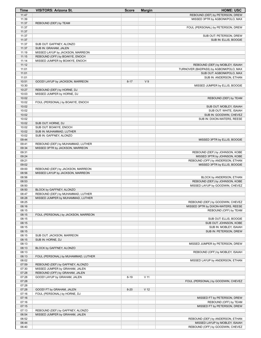| <b>Time</b>    | <b>VISITORS: Arizona St.</b>                                       | <b>Score</b> | <b>Margin</b>   | <b>HOME: USC</b>                                 |
|----------------|--------------------------------------------------------------------|--------------|-----------------|--------------------------------------------------|
| 11:47          |                                                                    |              |                 | REBOUND (DEF) by PETERSON, DREW                  |
| 11:39          |                                                                    |              |                 | MISSED 3PTR by AGBONKPOLO, MAX                   |
| 11:37          | REBOUND (DEF) by TEAM                                              |              |                 |                                                  |
| 11:37          |                                                                    |              |                 | FOUL (PERSONAL) by PETERSON, DREW                |
| 11:37          |                                                                    |              |                 |                                                  |
| 11:37<br>11:37 |                                                                    |              |                 | SUB OUT: PETERSON, DREW<br>SUB IN: ELLIS, BOOGIE |
| 11:37          | SUB OUT: GAFFNEY, ALONZO                                           |              |                 |                                                  |
| 11:37          | SUB IN: GRAHAM, JALEN                                              |              |                 |                                                  |
| 11:19          | MISSED LAYUP by JACKSON, MARREON                                   |              |                 |                                                  |
| 11:15          | REBOUND (OFF) by BOAKYE, ENOCH                                     |              |                 |                                                  |
| 11:14          | MISSED JUMPER by BOAKYE, ENOCH                                     |              |                 |                                                  |
| 11:12          |                                                                    |              |                 | REBOUND (DEF) by MOBLEY, ISAIAH                  |
| 11:01          |                                                                    |              |                 | TURNOVER (BADPASS) by AGBONKPOLO, MAX            |
| 11:01          |                                                                    |              |                 | SUB OUT: AGBONKPOLO, MAX                         |
| 11:01          |                                                                    |              |                 | SUB IN: ANDERSON, ETHAN                          |
| 10:51<br>10:30 | GOOD! LAYUP by JACKSON, MARREON                                    | $8 - 17$     | V <sub>9</sub>  | MISSED JUMPER by ELLIS, BOOGIE                   |
| 10:27          | REBOUND (DEF) by HORNE, DJ                                         |              |                 |                                                  |
| 10:03          | MISSED JUMPER by HORNE, DJ                                         |              |                 |                                                  |
| 10:02          |                                                                    |              |                 | REBOUND (DEF) by TEAM                            |
| 10:02          | FOUL (PERSONAL) by BOAKYE, ENOCH                                   |              |                 |                                                  |
| 10:02          |                                                                    |              |                 | SUB OUT: MOBLEY, ISAIAH                          |
| 10:02          |                                                                    |              |                 | SUB OUT: WHITE, ISAIAH                           |
| 10:02          |                                                                    |              |                 | SUB IN: GOODWIN, CHEVEZ                          |
| 10:02          |                                                                    |              |                 | SUB IN: DIXON-WATERS, REESE                      |
| 10:02          | SUB OUT: HORNE, DJ                                                 |              |                 |                                                  |
| 10:02<br>10:02 | SUB OUT: BOAKYE, ENOCH<br>SUB IN: MUHAMMAD, LUTHER                 |              |                 |                                                  |
| 10:02          | SUB IN: GAFFNEY, ALONZO                                            |              |                 |                                                  |
| 09:44          |                                                                    |              |                 | MISSED 3PTR by ELLIS, BOOGIE                     |
| 09:41          | REBOUND (DEF) by MUHAMMAD, LUTHER                                  |              |                 |                                                  |
| 09:34          | MISSED 3PTR by JACKSON, MARREON                                    |              |                 |                                                  |
| 09:31          |                                                                    |              |                 | REBOUND (DEF) by JOHNSON, KOBE                   |
| 09:24          |                                                                    |              |                 | MISSED 3PTR by JOHNSON, KOBE                     |
| 09:21          |                                                                    |              |                 | REBOUND (OFF) by ANDERSON, ETHAN                 |
| 09:02          |                                                                    |              |                 | MISSED 3PTR by ELLIS, BOOGIE                     |
| 09:00          | REBOUND (DEF) by JACKSON, MARREON                                  |              |                 |                                                  |
| 08:56<br>08:56 | MISSED LAYUP by JACKSON, MARREON                                   |              |                 | BLOCK by ANDERSON, ETHAN                         |
| 08:53          |                                                                    |              |                 | REBOUND (DEF) by JOHNSON, KOBE                   |
| 08:50          |                                                                    |              |                 | MISSED LAYUP by GOODWIN, CHEVEZ                  |
| 08:50          | BLOCK by GAFFNEY, ALONZO                                           |              |                 |                                                  |
| 08:47          | REBOUND (DEF) by MUHAMMAD, LUTHER                                  |              |                 |                                                  |
| 08:28          | MISSED JUMPER by MUHAMMAD, LUTHER                                  |              |                 |                                                  |
| 08:25          |                                                                    |              |                 | REBOUND (DEF) by GOODWIN, CHEVEZ                 |
| 08:16          |                                                                    |              |                 | MISSED 3PTR by DIXON-WATERS, REESE               |
| 08:15          |                                                                    |              |                 | REBOUND (OFF) by TEAM                            |
| 08:15<br>08:15 | FOUL (PERSONAL) by JACKSON, MARREON                                |              |                 | SUB OUT: ELLIS, BOOGIE                           |
| 08:15          |                                                                    |              |                 | SUB OUT: JOHNSON, KOBE                           |
| 08:15          |                                                                    |              |                 | SUB IN: MOBLEY, ISAIAH                           |
| 08:15          |                                                                    |              |                 | SUB IN: PETERSON, DREW                           |
| 08:15          | SUB OUT: JACKSON, MARREON                                          |              |                 |                                                  |
| 08:15          | SUB IN: HORNE, DJ                                                  |              |                 |                                                  |
| 08:13          |                                                                    |              |                 | MISSED JUMPER by PETERSON, DREW                  |
| 08:13          | BLOCK by GAFFNEY, ALONZO                                           |              |                 |                                                  |
| 08:13          |                                                                    |              |                 | REBOUND (OFF) by MOBLEY, ISAIAH                  |
| 08:13          | FOUL (PERSONAL) by MUHAMMAD, LUTHER                                |              |                 |                                                  |
| 08:02<br>07:59 | REBOUND (DEF) by GAFFNEY, ALONZO                                   |              |                 | MISSED LAYUP by ANDERSON, ETHAN                  |
| 07:30          | MISSED JUMPER by GRAHAM, JALEN                                     |              |                 |                                                  |
| 07:28          | REBOUND (OFF) by GRAHAM, JALEN                                     |              |                 |                                                  |
| 07:28          | GOOD! LAYUP by GRAHAM, JALEN                                       | $8 - 19$     | $V$ 11          |                                                  |
| 07:28          |                                                                    |              |                 | FOUL (PERSONAL) by GOODWIN, CHEVEZ               |
| 07:28          |                                                                    |              |                 |                                                  |
| 07:28          | GOOD! FT by GRAHAM, JALEN                                          | $8 - 20$     | V <sub>12</sub> |                                                  |
| 07:16          | FOUL (PERSONAL) by HORNE, DJ                                       |              |                 |                                                  |
| 07:16          |                                                                    |              |                 | MISSED FT by PETERSON, DREW                      |
| 07:16          |                                                                    |              |                 | REBOUND (OFF) by TEAM                            |
| 07:15<br>07:13 |                                                                    |              |                 | MISSED FT by PETERSON, DREW                      |
| 06:54          | REBOUND (DEF) by GAFFNEY, ALONZO<br>MISSED JUMPER by GRAHAM, JALEN |              |                 |                                                  |
| 06:52          |                                                                    |              |                 | REBOUND (DEF) by ANDERSON, ETHAN                 |
| 06:44          |                                                                    |              |                 | MISSED LAYUP by MOBLEY, ISAIAH                   |
| 06:40          |                                                                    |              |                 | REBOUND (OFF) by GOODWIN, CHEVEZ                 |
|                |                                                                    |              |                 |                                                  |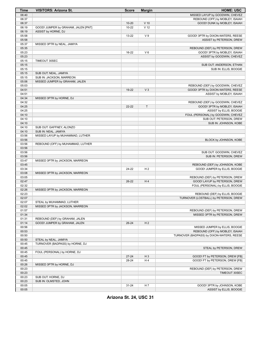| <b>Time</b>    | <b>VISITORS: Arizona St.</b>        | <b>Score</b>       | <b>Margin</b>   | <b>HOME: USC</b>                                              |
|----------------|-------------------------------------|--------------------|-----------------|---------------------------------------------------------------|
| 06:40          |                                     |                    |                 | MISSED LAYUP by GOODWIN, CHEVEZ                               |
| 06:37          |                                     |                    |                 | REBOUND (OFF) by MOBLEY, ISAIAH                               |
| 06:37          |                                     | $10 - 20$          | $V$ 10          | GOOD! DUNK by MOBLEY, ISAIAH                                  |
| 06:19          | GOOD! JUMPER by GRAHAM, JALEN [PNT] | $10 - 22$          | V <sub>12</sub> |                                                               |
| 06:19          | ASSIST by HORNE, DJ                 |                    |                 |                                                               |
| 05:58          |                                     | 13-22              | V <sub>9</sub>  | GOOD! 3PTR by DIXON-WATERS, REESE                             |
| 05:58          |                                     |                    |                 | ASSIST by PETERSON, DREW                                      |
| 05:37          | MISSED 3PTR by NEAL, JAMIYA         |                    |                 |                                                               |
| 05:35          |                                     |                    |                 | REBOUND (DEF) by PETERSON, DREW                               |
| 05:23          |                                     | 16-22              | $V_6$           | GOOD! 3PTR by MOBLEY, ISAIAH                                  |
| 05:23          |                                     |                    |                 | ASSIST by GOODWIN, CHEVEZ                                     |
| 05:15          | TIMEOUT 30SEC                       |                    |                 |                                                               |
| 05:15          |                                     |                    |                 | SUB OUT: ANDERSON, ETHAN                                      |
| 05:15          |                                     |                    |                 | SUB IN: ELLIS, BOOGIE                                         |
| 05:15          | SUB OUT: NEAL, JAMIYA               |                    |                 |                                                               |
| 05:15          | SUB IN: JACKSON, MARREON            |                    |                 |                                                               |
| 05:06          | MISSED JUMPER by GRAHAM, JALEN      |                    |                 |                                                               |
| 05:03          |                                     |                    |                 | REBOUND (DEF) by GOODWIN, CHEVEZ                              |
| 04:51          |                                     | 19-22              | $V_3$           | GOOD! 3PTR by DIXON-WATERS, REESE                             |
| 04:51          |                                     |                    |                 | ASSIST by MOBLEY, ISAIAH                                      |
| 04:34          | MISSED 3PTR by HORNE, DJ            |                    |                 |                                                               |
| 04:32<br>04:25 |                                     | 22-22              | $\mathsf{T}$    | REBOUND (DEF) by GOODWIN, CHEVEZ                              |
| 04:25          |                                     |                    |                 | GOOD! 3PTR by MOBLEY, ISAIAH                                  |
| 04:10          |                                     |                    |                 | ASSIST by ELLIS, BOOGIE<br>FOUL (PERSONAL) by GOODWIN, CHEVEZ |
| 04:10          |                                     |                    |                 | SUB OUT: PETERSON, DREW                                       |
| 04:10          |                                     |                    |                 | SUB IN: JOHNSON, KOBE                                         |
| 04:10          | SUB OUT: GAFFNEY, ALONZO            |                    |                 |                                                               |
| 04:10          | SUB IN: NEAL, JAMIYA                |                    |                 |                                                               |
| 03:56          | MISSED LAYUP by MUHAMMAD, LUTHER    |                    |                 |                                                               |
| 03:56          |                                     |                    |                 | BLOCK by JOHNSON, KOBE                                        |
| 03:56          | REBOUND (OFF) by MUHAMMAD, LUTHER   |                    |                 |                                                               |
| 03:56          |                                     |                    |                 |                                                               |
| 03:56          |                                     |                    |                 | SUB OUT: GOODWIN, CHEVEZ                                      |
| 03:56          |                                     |                    |                 | SUB IN: PETERSON, DREW                                        |
| 03:47          | MISSED 3PTR by JACKSON, MARREON     |                    |                 |                                                               |
| 03:45          |                                     |                    |                 | REBOUND (DEF) by JOHNSON, KOBE                                |
| 03:34          |                                     | 24-22              | H <sub>2</sub>  | GOOD! JUMPER by ELLIS, BOOGIE                                 |
| 03:08          | MISSED 3PTR by JACKSON, MARREON     |                    |                 |                                                               |
| 03:05          |                                     |                    |                 | REBOUND (DEF) by PETERSON, DREW                               |
| 02:47          |                                     | 26-22              | H4              | GOOD! LAYUP by PETERSON, DREW                                 |
| 02:32          |                                     |                    |                 | FOUL (PERSONAL) by ELLIS, BOOGIE                              |
| 02:26          | MISSED 3PTR by JACKSON, MARREON     |                    |                 |                                                               |
| 02:23          |                                     |                    |                 | REBOUND (DEF) by ELLIS, BOOGIE                                |
| 02:07          |                                     |                    |                 | TURNOVER (LOSTBALL) by PETERSON, DREW                         |
| 02:07          | STEAL by MUHAMMAD, LUTHER           |                    |                 |                                                               |
| 02:02          | MISSED 3PTR by JACKSON, MARREON     |                    |                 |                                                               |
| 01:57          |                                     |                    |                 | REBOUND (DEF) by PETERSON, DREW                               |
| 01:34          |                                     |                    |                 | MISSED 3PTR by PETERSON, DREW                                 |
| 01:31          | REBOUND (DEF) by GRAHAM, JALEN      |                    |                 |                                                               |
| 01:14          | GOOD! JUMPER by GRAHAM, JALEN       | $26 - 24$          | H <sub>2</sub>  |                                                               |
| 00:56          |                                     |                    |                 | MISSED JUMPER by ELLIS, BOOGIE                                |
| 00:53          |                                     |                    |                 | REBOUND (OFF) by MOBLEY, ISAIAH                               |
| 00:50          |                                     |                    |                 | TURNOVER (BADPASS) by DIXON-WATERS, REESE                     |
| 00:50          | STEAL by NEAL, JAMIYA               |                    |                 |                                                               |
| 00:45          | TURNOVER (BADPASS) by HORNE, DJ     |                    |                 |                                                               |
| 00:45          |                                     |                    |                 | STEAL by PETERSON, DREW                                       |
| 00:45          | FOUL (PERSONAL) by HORNE, DJ        |                    |                 |                                                               |
| 00:45          |                                     | $27 - 24$<br>28-24 | $H_3$<br>H 4    | GOOD! FT by PETERSON, DREW [FB]                               |
| 00:45<br>00:26 |                                     |                    |                 | GOOD! FT by PETERSON, DREW [FB]                               |
| 00:23          | MISSED 3PTR by HORNE, DJ            |                    |                 | REBOUND (DEF) by PETERSON, DREW                               |
| 00:23          |                                     |                    |                 | TIMEOUT 30SEC                                                 |
| 00:23          | SUB OUT: HORNE, DJ                  |                    |                 |                                                               |
| 00:23          | SUB IN: OLMSTED, JOHN               |                    |                 |                                                               |
| 00:05          |                                     | $31 - 24$          | H 7             | GOOD! 3PTR by JOHNSON, KOBE                                   |
| 00:05          |                                     |                    |                 | ASSIST by ELLIS, BOOGIE                                       |

**Arizona St. 24, USC 31**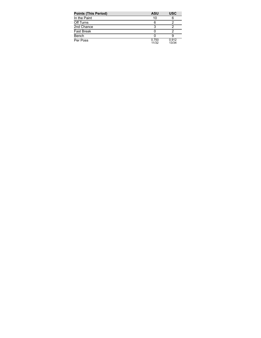| <b>Points (This Period)</b> | <b>ASU</b>     | <b>USC</b>     |
|-----------------------------|----------------|----------------|
| In the Paint                | 10             | 6              |
| Off Turns                   | 6              |                |
| 2nd Chance                  |                |                |
| <b>Fast Break</b>           |                |                |
| Bench                       |                |                |
| Per Poss                    | 0.750<br>11/32 | 0.912<br>13/34 |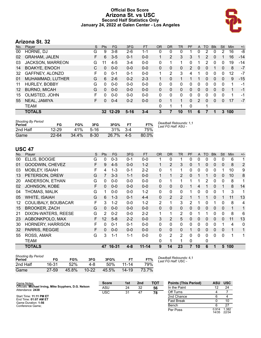### **Official Box Score Arizona St. vs USC Second Half Statistics Only January 24, 2022 at Galen Center - Los Angeles**



# **Arizona St. 32**

| No.               | Plaver                  | S | <b>Pts</b> | <b>FG</b> | 3FG      | <b>FT</b> | <b>OR</b> | <b>DR</b> | TR       | PF       | A | <b>TO</b> | <b>B</b> lk | Stl      | <b>Min</b> | $+/-$ |
|-------------------|-------------------------|---|------------|-----------|----------|-----------|-----------|-----------|----------|----------|---|-----------|-------------|----------|------------|-------|
| 00                | HORNE, DJ               | G | 9          | $3 - 8$   | $2-6$    | 1-1       | 0         | 0         | 0        | 1        | 0 | 2         | $\Omega$    | 2        | 16         | -8    |
| 02                | <b>GRAHAM, JALEN</b>    | F | 6          | $3 - 5$   | $0 - 1$  | $0 - 0$   | 1         | 2         | 3        | 3        |   | 2         | 0           | 1        | 16         | $-14$ |
| 03                | <b>JACKSON, MARREON</b> | G | 11         | $4 - 5$   | $3 - 4$  | $0-0$     | 0         | 1         | 1        | 0        |   | 2         | $\Omega$    | 0        | 19         | -14   |
| 14                | <b>BOAKYE, ENOCH</b>    | C | 0          | $0 - 0$   | $0 - 0$  | $0 - 0$   | 0         | 0         | 0        | 2        | 0 | 0         |             | 0        | 8          | $-7$  |
| 32                | GAFFNEY, ALONZO         | F | $\Omega$   | $0 - 1$   | $0 - 1$  | $0 - 0$   | 1         | 2         | 3        | 4        |   | 0         | 0           | $\Omega$ | 12         | $-7$  |
| 01                | MUHAMMAD, LUTHER        | G | 6          | $2-6$     | $0 - 2$  | $2 - 3$   | 1         | $\Omega$  | 1        |          |   | 0         | 0           | 0        | 9          | $-15$ |
| 11                | HURLEY, BOBBY           | G | 0          | $0 - 0$   | $0 - 0$  | $0 - 0$   | 0         | 0         | 0        | 0        | 0 | $\Omega$  | 0           | 0        | 1          | -1    |
| $12 \overline{ }$ | <b>BURNO, MICAH</b>     | G | $\Omega$   | $0 - 0$   | $0 - 0$  | $0 - 0$   | 0         | $\Omega$  | $\Omega$ | $\Omega$ | 0 | $\Omega$  | $\Omega$    | $\Omega$ | 1          | $-1$  |
| 15                | OLMSTED, JOHN           | F | $\Omega$   | $0 - 0$   | $0 - 0$  | $0 - 0$   | 0         | $\Omega$  | 0        | 0        | 0 | 0         | 0           | 0        | 1          | -1    |
| 55                | NEAL, JAMIYA            | F | 0          | $0 - 4$   | $0 - 2$  | $0 - 0$   | 0         | 1         | 1        | $\Omega$ | 2 | 0         | 0           | 0        | 17         | $-7$  |
|                   | TEAM                    |   |            |           |          |           | 0         | 1         | 1        | $\Omega$ |   | 1         |             |          |            |       |
|                   | <b>TOTALS</b>           |   | 32         | $12 - 29$ | $5 - 16$ | $3 - 4$   | 3         | 7         | 10       | 11       | 6 |           |             | 3.       | 100        |       |
|                   |                         |   |            |           |          |           |           |           |          |          |   |           |             |          |            |       |

| <b>Shooting By Period</b><br>Period | FG        | FG%   | 3FG      | 3FG%  | FТ      | FT%   | Deadball Rebounds: 1,1<br>Last FG Half: ASU - |
|-------------------------------------|-----------|-------|----------|-------|---------|-------|-----------------------------------------------|
| 2nd Half                            | $12 - 29$ | 41%   | $5 - 16$ | 31%   | $3 - 4$ | 75%   |                                               |
| Game                                | $22 - 64$ | 34.4% | $8 - 30$ | 26.7% | $4 - 5$ | 80.0% |                                               |

# **USC 47**

| No. | Player                   | S | <b>Pts</b> | <b>FG</b> | 3FG     | <b>FT</b> | <b>OR</b> | <b>DR</b>      | <b>TR</b>      | PF             | A        | <b>TO</b>    | <b>Blk</b>   | Stl          | Min | $+/-$ |
|-----|--------------------------|---|------------|-----------|---------|-----------|-----------|----------------|----------------|----------------|----------|--------------|--------------|--------------|-----|-------|
| 00  | ELLIS, BOOGIE            | G | 0          | $0 - 3$   | $0 - 1$ | $0-0$     |           | 0              |                | 0              | 0        | 0            | 0            | 0            | 6   | 1     |
| 01  | GOODWIN, CHEVEZ          | F | 9          | $4 - 5$   | $0 - 0$ | $1 - 2$   |           | 2              | 3              | 0              |          | 0            | 0            | 0            | 8   | 2     |
| 03  | <b>MOBLEY, ISAIAH</b>    | F | 4          | $1 - 3$   | $0 - 1$ | $2 - 2$   | 0         | 1              |                | 0              | 0        | 0            | 0            |              | 10  | 9     |
| 13  | PETERSON, DREW           | G |            | $3 - 3$   | $1 - 1$ | $0 - 0$   |           | 1              | 2              | 0              |          |              | $\mathbf{0}$ | 0            | 10  | 8     |
| 20  | ANDERSON, ETHAN          | G | 0          | $0-0$     | $0 - 0$ | $0-0$     | 0         | 1              |                |                |          | 2            | 0            | 0            | 8   | 1     |
| 02  | JOHNSON, KOBE            | F | 0          | $0 - 0$   | $0 - 0$ | $0 - 0$   | $\Omega$  | 0              | $\Omega$       |                | 4        |              | $\mathbf{0}$ | 1            | 8   | 14    |
| 04  | THOMAS, MALIK            | G | 1          | $0-0$     | $0-0$   | $1 - 2$   | 0         | 0              | $\mathbf{0}$   |                | 0        | 0            | 0            | 1            | 3   | 1     |
| 05  | <b>WHITE, ISAIAH</b>     | G | 6          | $1 - 3$   | $0 - 1$ | $4 - 4$   | 0         | $\overline{2}$ | $\overline{2}$ |                |          | 1            | $\mathbf{0}$ | 1            | 11  | 13    |
| 12  | COULIBALY, BOUBACAR      | F | 3          | $1 - 2$   | $0-0$   | $1 - 2$   | 2         | 1              | 3              | 2              |          | 0            |              | 0            | 8   | 4     |
| 15  | <b>BROOKER, ZACH</b>     | G | $\Omega$   | $0 - 0$   | $0 - 0$ | $0 - 0$   | $\Omega$  | $\Omega$       | $\Omega$       | $\Omega$       | 0        | $\mathbf{0}$ | $\Omega$     | $\mathbf{0}$ | 1   | 1     |
| 21  | DIXON-WATERS, REESE      | G | 2          | $0 - 2$   | $0 - 0$ | $2 - 2$   | 1         | 1              | $\overline{2}$ | $\Omega$       | 1        |              | 0            | 0            | 8   | 6     |
| 23  | AGBONKPOLO, MAX          | F | 12         | $5 - 8$   | $2 - 2$ | $0 - 0$   | 3         | 2              | 5              | $\Omega$       | 0        | 0            | $\Omega$     | $\Omega$     | 11  | 13    |
| 30  | <b>HORNERY, HARRISON</b> | F | 0          | $0 - 1$   | $0 - 1$ | $0-0$     | 0         | 0              | $\mathbf{0}$   | 0              | 0        | 0            | $\Omega$     | 1            | 4   | 0     |
| 32  | PARRIS, REGGIE           | F | $\Omega$   | $0 - 0$   | $0 - 0$ | $0 - 0$   | $\Omega$  | 0              | $\Omega$       | 1              | $\Omega$ | $\Omega$     | $\Omega$     | $\Omega$     | 1   | 1     |
| 55  | ROSS, AMAR               | G | 3          | $1 - 1$   | $1 - 1$ | $0 - 0$   | 0         | 2              | 2              | 0              | 0        | 0            | 0            | $\Omega$     | 1   | 1     |
|     | TEAM                     |   |            |           |         |           | 0         | 1              |                | 0              |          | 0            |              |              |     |       |
|     | TOTALS                   |   | 47         | 16-31     | $4 - 8$ | $11 - 14$ | 9         | 14             | 23             | $\overline{7}$ | 10       | 6            |              | 5            | 100 |       |

| <b>Shooting By Period</b><br>Period | FG        | FG%   | 3FG       | 3FG%  |           | FT%   |
|-------------------------------------|-----------|-------|-----------|-------|-----------|-------|
| 2nd Half                            | 16-31     | 52%   | 4-8       | 50%   | 11-14     | 79%   |
| Game                                | $27 - 59$ | 45.8% | $10 - 22$ | 45.5% | $14 - 19$ | 73.7% |

*Deadball Rebounds:* 4,1 *Last FG Half:* USC -

| Game Notes:                                                               | <b>Score</b> | 1st | 2 <sub>nd</sub> | <b>TOT</b> | <b>Points (This Period)</b> |                | ASU USC        |
|---------------------------------------------------------------------------|--------------|-----|-----------------|------------|-----------------------------|----------------|----------------|
| Officials: Michael Irving, Mike Scyphers, D.G. Nelson<br>Attendance: 2438 | ASU          | 24  | 32              | 56         | In the Paint                |                | 24             |
|                                                                           | <b>USC</b>   | 31  | 47              | 78         | Off Turns                   |                |                |
| Start Time: 11:11 PM ET                                                   |              |     |                 |            | 2nd Chance                  |                |                |
| End Time: 01:07 AM ET<br>Game Duration: 1:56                              |              |     |                 |            | <b>Fast Break</b>           |                | 10             |
| Conference Game:                                                          |              |     |                 |            | Bench                       |                | 27             |
|                                                                           |              |     |                 |            | Per Poss                    | 0.914<br>14/35 | 1.382<br>22/34 |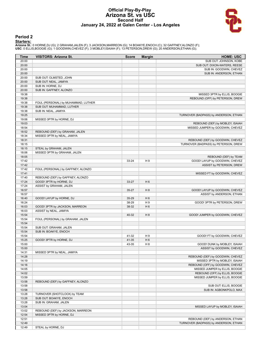#### **Official Play-By-Play Arizona St. vs USC Second Half January 24, 2022 at Galen Center - Los Angeles**



#### **Period 2**

<mark>Starters:</mark><br>Arizona St.: 0 HORNE,DJ (G); 2 GRAHAM,JALEN (F); 3 JACKSON,MARREON (G); 14 BOAKYE,ENOCH (C); 32 GAFFNEY,ALONZO (F);<br>USC: 0 ELLIS,BOOGIE (G); 1 GOODWIN,CHEVEZ (F); 3 MOBLEY,ISAIAH (F); 13 PETERSON,DREW (G); 20 A

| Time           | <b>VISITORS: Arizona St.</b>        | <b>Score</b> | <b>Margin</b>  | <b>HOME: USC</b>                                          |
|----------------|-------------------------------------|--------------|----------------|-----------------------------------------------------------|
| 20:00          |                                     |              |                | SUB OUT: JOHNSON, KOBE                                    |
| 20:00          |                                     |              |                | SUB OUT: DIXON-WATERS, REESE                              |
| 20:00          |                                     |              |                | SUB IN: GOODWIN, CHEVEZ                                   |
| 20:00          |                                     |              |                | SUB IN: ANDERSON, ETHAN                                   |
| 20:00          | SUB OUT: OLMSTED, JOHN              |              |                |                                                           |
| 20:00          | SUB OUT: NEAL, JAMIYA               |              |                |                                                           |
| 20:00          | SUB IN: HORNE, DJ                   |              |                |                                                           |
| 20:00          | SUB IN: GAFFNEY, ALONZO             |              |                |                                                           |
| 19:38          |                                     |              |                | MISSED 3PTR by ELLIS, BOOGIE                              |
| 19:38          |                                     |              |                | REBOUND (OFF) by PETERSON, DREW                           |
| 19:38          | FOUL (PERSONAL) by MUHAMMAD, LUTHER |              |                |                                                           |
| 19:38          | SUB OUT: MUHAMMAD, LUTHER           |              |                |                                                           |
| 19:38          | SUB IN: NEAL, JAMIYA                |              |                |                                                           |
| 19:25          |                                     |              |                | TURNOVER (BADPASS) by ANDERSON, ETHAN                     |
| 19:06          | MISSED 3PTR by HORNE, DJ            |              |                |                                                           |
| 19:03          |                                     |              |                | REBOUND (DEF) by MOBLEY, ISAIAH                           |
| 18:54          |                                     |              |                | MISSED JUMPER by GOODWIN, CHEVEZ                          |
| 18:52          | REBOUND (DEF) by GRAHAM, JALEN      |              |                |                                                           |
| 18:34          | MISSED 3PTR by NEAL, JAMIYA         |              |                |                                                           |
| 18:31          |                                     |              |                | REBOUND (DEF) by GOODWIN, CHEVEZ                          |
| 18:15          |                                     |              |                | TURNOVER (BADPASS) by PETERSON, DREW                      |
| 18:15          | STEAL by GRAHAM, JALEN              |              |                |                                                           |
| 18:06          | MISSED 3PTR by GRAHAM, JALEN        |              |                |                                                           |
| 18:05          |                                     |              |                | REBOUND (DEF) by TEAM                                     |
| 17:42          |                                     | 33-24        | H 9            | GOOD! LAYUP by GOODWIN, CHEVEZ                            |
| 17:42          |                                     |              |                | ASSIST by PETERSON, DREW                                  |
| 17:42          | FOUL (PERSONAL) by GAFFNEY, ALONZO  |              |                |                                                           |
| 17:41          |                                     |              |                | MISSED FT by GOODWIN, CHEVEZ                              |
| 17:40          | REBOUND (DEF) by GAFFNEY, ALONZO    |              |                |                                                           |
| 17:24          | GOOD! 3PTR by HORNE, DJ             | $33 - 27$    | H <sub>6</sub> |                                                           |
| 17:24          | ASSIST by GRAHAM, JALEN             |              |                |                                                           |
| 16:57          |                                     | 35-27        | H <sub>8</sub> | GOOD! LAYUP by GOODWIN, CHEVEZ                            |
| 16:57          |                                     |              |                | ASSIST by ANDERSON, ETHAN                                 |
| 16:40          | GOOD! LAYUP by HORNE, DJ            | 35-29        | H <sub>6</sub> |                                                           |
| 16:24          |                                     | 38-29        | H9             | GOOD! 3PTR by PETERSON, DREW                              |
| 16:03          | GOOD! 3PTR by JACKSON, MARREON      | 38-32        | H <sub>6</sub> |                                                           |
| 16:03          | ASSIST by NEAL, JAMIYA              |              |                |                                                           |
| 15:54          |                                     | 40-32        | H <sub>8</sub> | GOOD! JUMPER by GOODWIN, CHEVEZ                           |
| 15:54          | FOUL (PERSONAL) by GRAHAM, JALEN    |              |                |                                                           |
| 15:54<br>15:54 |                                     |              |                |                                                           |
| 15:54          | SUB OUT: GRAHAM, JALEN              |              |                |                                                           |
| 15:54          | SUB IN: BOAKYE, ENOCH               | 41-32        | H 9            | GOOD! FT by GOODWIN, CHEVEZ                               |
| 15:25          | GOOD! 3PTR by HORNE, DJ             | 41-35        | H <sub>6</sub> |                                                           |
| 15:00          |                                     | 43-35        | H8             |                                                           |
| 15:00          |                                     |              |                | GOOD! DUNK by MOBLEY, ISAIAH<br>ASSIST by GOODWIN, CHEVEZ |
| 14:31          | MISSED 3PTR by NEAL, JAMIYA         |              |                |                                                           |
| 14:28          |                                     |              |                | REBOUND (DEF) by GOODWIN, CHEVEZ                          |
| 14:19          |                                     |              |                | MISSED 3PTR by MOBLEY, ISAIAH                             |
| 14:16          |                                     |              |                | REBOUND (OFF) by GOODWIN, CHEVEZ                          |
| 14:05          |                                     |              |                | MISSED JUMPER by ELLIS, BOOGIE                            |
| 14:02          |                                     |              |                | REBOUND (OFF) by ELLIS, BOOGIE                            |
| 13:59          |                                     |              |                | MISSED JUMPER by ELLIS, BOOGIE                            |
| 13:58          | REBOUND (DEF) by GAFFNEY, ALONZO    |              |                |                                                           |
| 13:58          |                                     |              |                | SUB OUT: ELLIS, BOOGIE                                    |
| 13:58          |                                     |              |                | SUB IN: AGBONKPOLO, MAX                                   |
| 13:28          | TURNOVER (SHOTCLOCK) by TEAM        |              |                |                                                           |
| 13:28          | SUB OUT: BOAKYE, ENOCH              |              |                |                                                           |
| 13:28          | SUB IN: GRAHAM, JALEN               |              |                |                                                           |
| 13:04          |                                     |              |                | MISSED LAYUP by MOBLEY, ISAIAH                            |
| 13:02          | REBOUND (DEF) by JACKSON, MARREON   |              |                |                                                           |
| 12:54          | MISSED 3PTR by HORNE, DJ            |              |                |                                                           |
| 12:51          |                                     |              |                | REBOUND (DEF) by ANDERSON, ETHAN                          |
| 12:49          |                                     |              |                | TURNOVER (BADPASS) by ANDERSON, ETHAN                     |
| 12:49          | STEAL by HORNE, DJ                  |              |                |                                                           |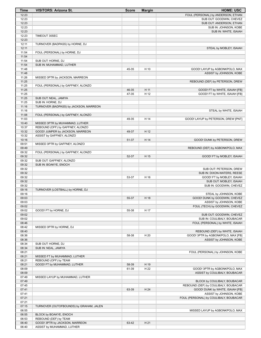| Time           | <b>VISITORS: Arizona St.</b>            | <b>Score</b> | <b>Margin</b> | <b>HOME: USC</b>                                                     |
|----------------|-----------------------------------------|--------------|---------------|----------------------------------------------------------------------|
| 12:23          |                                         |              |               | FOUL (PERSONAL) by ANDERSON, ETHAN                                   |
| 12:23          |                                         |              |               | SUB OUT: GOODWIN, CHEVEZ                                             |
| 12:23          |                                         |              |               | SUB OUT: ANDERSON, ETHAN                                             |
| 12:23          |                                         |              |               | SUB IN: JOHNSON, KOBE                                                |
| 12:23          |                                         |              |               | SUB IN: WHITE, ISAIAH                                                |
| 12:23<br>12:23 | TIMEOUT 30SEC                           |              |               |                                                                      |
| 12:11          | TURNOVER (BADPASS) by HORNE, DJ         |              |               |                                                                      |
| 12:11          |                                         |              |               | STEAL by MOBLEY, ISAIAH                                              |
| 11:54          | FOUL (PERSONAL) by HORNE, DJ            |              |               |                                                                      |
| 11:54          |                                         |              |               |                                                                      |
| 11:54          | SUB OUT: HORNE, DJ                      |              |               |                                                                      |
| 11:54          | SUB IN: MUHAMMAD, LUTHER                |              |               |                                                                      |
| 11:48          |                                         | 45-35        | H 10          | GOOD! LAYUP by AGBONKPOLO, MAX                                       |
| 11:48          |                                         |              |               | ASSIST by JOHNSON, KOBE                                              |
| 11:26          | MISSED 3PTR by JACKSON, MARREON         |              |               |                                                                      |
| 11:25          |                                         |              |               | REBOUND (DEF) by PETERSON, DREW                                      |
| 11:25<br>11:25 | FOUL (PERSONAL) by GAFFNEY, ALONZO      | 46-35        | H 11          |                                                                      |
| 11:25          |                                         | 47-35        | H 12          | GOOD! FT by WHITE, ISAIAH [FB]<br>GOOD! FT by WHITE, ISAIAH [FB]     |
| 11:25          | SUB OUT: NEAL, JAMIYA                   |              |               |                                                                      |
| 11:25          | SUB IN: HORNE, DJ                       |              |               |                                                                      |
| 11:16          | TURNOVER (BADPASS) by JACKSON, MARREON  |              |               |                                                                      |
| 11:16          |                                         |              |               | STEAL by WHITE, ISAIAH                                               |
| 11:08          | FOUL (PERSONAL) by GAFFNEY, ALONZO      |              |               |                                                                      |
| 11:03          |                                         | 49-35        | H 14          | GOOD! LAYUP by PETERSON, DREW [PNT]                                  |
| 10:40          | MISSED 3PTR by MUHAMMAD, LUTHER         |              |               |                                                                      |
| 10:37          | REBOUND (OFF) by GAFFNEY, ALONZO        |              |               |                                                                      |
| 10:32          | GOOD! JUMPER by JACKSON, MARREON        | 49-37        | H 12          |                                                                      |
| 10:32          | ASSIST by GAFFNEY, ALONZO               |              |               |                                                                      |
| 10:16<br>09:51 | MISSED 3PTR by GAFFNEY, ALONZO          | 51-37        | H 14          | GOOD! DUNK by PETERSON, DREW                                         |
| 09:49          |                                         |              |               | REBOUND (DEF) by AGBONKPOLO, MAX                                     |
| 09:32          | FOUL (PERSONAL) by GAFFNEY, ALONZO      |              |               |                                                                      |
| 09:32          |                                         | 52-37        | H 15          | GOOD! FT by MOBLEY, ISAIAH                                           |
| 09:32          | SUB OUT: GAFFNEY, ALONZO                |              |               |                                                                      |
| 09:32          | SUB IN: BOAKYE, ENOCH                   |              |               |                                                                      |
| 09:32          |                                         |              |               | SUB OUT: PETERSON, DREW                                              |
| 09:32          |                                         |              |               | SUB IN: DIXON-WATERS, REESE                                          |
| 09:32          |                                         | 53-37        | H 16          | GOOD! FT by MOBLEY, ISAIAH                                           |
| 09:32          |                                         |              |               | SUB OUT: MOBLEY, ISAIAH                                              |
| 09:32<br>09:16 | TURNOVER (LOSTBALL) by HORNE, DJ        |              |               | SUB IN: GOODWIN, CHEVEZ                                              |
| 09:16          |                                         |              |               | STEAL by JOHNSON, KOBE                                               |
| 09:03          |                                         | 55-37        | H 18          | GOOD! DUNK by GOODWIN, CHEVEZ                                        |
| 09:03          |                                         |              |               | ASSIST by JOHNSON, KOBE                                              |
| 09:02          |                                         |              |               | FOUL (TECH) by GOODWIN, CHEVEZ                                       |
| 09:02          | GOOD! FT by HORNE, DJ                   | 55-38        | H 17          |                                                                      |
| 09:02          |                                         |              |               | SUB OUT: GOODWIN, CHEVEZ                                             |
| 09:02          |                                         |              |               | SUB IN: COULIBALY, BOUBACAR                                          |
| 08:46          |                                         |              |               | FOUL (PERSONAL) by WHITE, ISAIAH                                     |
| 08:42          | MISSED 3PTR by HORNE, DJ                |              |               |                                                                      |
| 08:40          |                                         |              |               | REBOUND (DEF) by WHITE, ISAIAH                                       |
| 08:36<br>08:36 |                                         | 58-38        | H 20          | GOOD! 3PTR by AGBONKPOLO, MAX [FB]<br>ASSIST by JOHNSON, KOBE        |
| 08:34          | SUB OUT: HORNE, DJ                      |              |               |                                                                      |
| 08:34          | SUB IN: NEAL, JAMIYA                    |              |               |                                                                      |
| 08:21          |                                         |              |               | FOUL (PERSONAL) by JOHNSON, KOBE                                     |
| 08:21          | MISSED FT by MUHAMMAD, LUTHER           |              |               |                                                                      |
| 08:21          | REBOUND (OFF) by TEAM                   |              |               |                                                                      |
| 08:21          | GOOD! FT by MUHAMMAD, LUTHER            | 58-39        | H 19          |                                                                      |
| 08:09          |                                         | 61-39        | H 22          | GOOD! 3PTR by AGBONKPOLO, MAX                                        |
| 08:09          |                                         |              |               | ASSIST by COULIBALY, BOUBACAR                                        |
| 07:49          | MISSED LAYUP by MUHAMMAD, LUTHER        |              |               |                                                                      |
| 07:49<br>07:45 |                                         |              |               | BLOCK by COULIBALY, BOUBACAR<br>REBOUND (DEF) by COULIBALY, BOUBACAR |
| 07:41          |                                         | 63-39        | H 24          | GOOD! DUNK by WHITE, ISAIAH [FB]                                     |
| 07:41          |                                         |              |               | ASSIST by JOHNSON, KOBE                                              |
| 07:21          |                                         |              |               | FOUL (PERSONAL) by COULIBALY, BOUBACAR                               |
| 07:21          |                                         |              |               |                                                                      |
| 07:15          | TURNOVER (OUTOFBOUNDS) by GRAHAM, JALEN |              |               |                                                                      |
| 06:55          |                                         |              |               | MISSED LAYUP by AGBONKPOLO, MAX                                      |
| 06:55          | BLOCK by BOAKYE, ENOCH                  |              |               |                                                                      |
| 06:53          | REBOUND (DEF) by TEAM                   |              |               |                                                                      |
| 06:40          | GOOD! 3PTR by JACKSON, MARREON          | 63-42        | H 21          |                                                                      |
| 06:40          | ASSIST by MUHAMMAD, LUTHER              |              |               |                                                                      |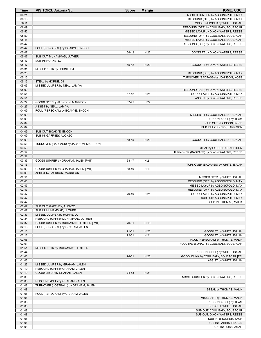| Time           | <b>VISITORS: Arizona St.</b>           | <b>Score</b> | <b>Margin</b> | <b>HOME: USC</b>                                                            |
|----------------|----------------------------------------|--------------|---------------|-----------------------------------------------------------------------------|
| 06:21          |                                        |              |               | MISSED JUMPER by AGBONKPOLO, MAX                                            |
| 06:18          |                                        |              |               | REBOUND (OFF) by AGBONKPOLO, MAX                                            |
| 06:11          |                                        |              |               | MISSED JUMPER by WHITE, ISAIAH                                              |
| 06:09          |                                        |              |               | REBOUND (OFF) by COULIBALY, BOUBACAR                                        |
| 05:52          |                                        |              |               | MISSED LAYUP by DIXON-WATERS, REESE                                         |
| 05:50          |                                        |              |               | REBOUND (OFF) by COULIBALY, BOUBACAR                                        |
| 05:48<br>05:47 |                                        |              |               | MISSED LAYUP by COULIBALY, BOUBACAR<br>REBOUND (OFF) by DIXON-WATERS, REESE |
| 05:47          | FOUL (PERSONAL) by BOAKYE, ENOCH       |              |               |                                                                             |
| 05:47          |                                        | 64-42        | H 22          | GOOD! FT by DIXON-WATERS, REESE                                             |
| 05:47          | SUB OUT: MUHAMMAD, LUTHER              |              |               |                                                                             |
| 05:47          | SUB IN: HORNE, DJ                      |              |               |                                                                             |
| 05:47          |                                        | 65-42        | H 23          | GOOD! FT by DIXON-WATERS, REESE                                             |
| 05:31          | MISSED 3PTR by HORNE, DJ               |              |               |                                                                             |
| 05:28          |                                        |              |               | REBOUND (DEF) by AGBONKPOLO, MAX                                            |
| 05:15          |                                        |              |               | TURNOVER (BADPASS) by JOHNSON, KOBE                                         |
| 05:15          | STEAL by HORNE, DJ                     |              |               |                                                                             |
| 05:03          | MISSED JUMPER by NEAL, JAMIYA          |              |               |                                                                             |
| 05:00<br>04:51 |                                        | 67-42        | H 25          | REBOUND (DEF) by DIXON-WATERS, REESE<br>GOOD! LAYUP by AGBONKPOLO, MAX      |
| 04:51          |                                        |              |               | ASSIST by DIXON-WATERS, REESE                                               |
| 04:27          | GOOD! 3PTR by JACKSON, MARREON         | 67-45        | H 22          |                                                                             |
| 04:27          | ASSIST by NEAL, JAMIYA                 |              |               |                                                                             |
| 04:09          | FOUL (PERSONAL) by BOAKYE, ENOCH       |              |               |                                                                             |
| 04:09          |                                        |              |               | MISSED FT by COULIBALY, BOUBACAR                                            |
| 04:09          |                                        |              |               | REBOUND (OFF) by TEAM                                                       |
| 04:09          |                                        |              |               | SUB OUT: JOHNSON, KOBE                                                      |
| 04:09          |                                        |              |               | SUB IN: HORNERY, HARRISON                                                   |
| 04:09          | SUB OUT: BOAKYE, ENOCH                 |              |               |                                                                             |
| 04:09          | SUB IN: GAFFNEY, ALONZO                |              |               |                                                                             |
| 04:09          |                                        | 68-45        | H 23          | GOOD! FT by COULIBALY, BOUBACAR                                             |
| 03:56<br>03:56 | TURNOVER (BADPASS) by JACKSON, MARREON |              |               |                                                                             |
| 03:52          |                                        |              |               | STEAL by HORNERY, HARRISON<br>TURNOVER (BADPASS) by DIXON-WATERS, REESE     |
| 03:52          |                                        |              |               |                                                                             |
| 03:33          | GOOD! JUMPER by GRAHAM, JALEN [PNT]    | 68-47        | H 21          |                                                                             |
| 03:15          |                                        |              |               | TURNOVER (BADPASS) by WHITE, ISAIAH                                         |
| 03:00          | GOOD! JUMPER by GRAHAM, JALEN [PNT]    | 68-49        | H 19          |                                                                             |
| 03:00          | ASSIST by JACKSON, MARREON             |              |               |                                                                             |
| 02:51          |                                        |              |               | MISSED 3PTR by WHITE, ISAIAH                                                |
| 02:48          |                                        |              |               | REBOUND (OFF) by AGBONKPOLO, MAX                                            |
| 02:47          |                                        |              |               | MISSED LAYUP by AGBONKPOLO, MAX                                             |
| 02:47          |                                        |              |               | REBOUND (OFF) by AGBONKPOLO, MAX                                            |
| 02:47<br>02:47 |                                        | 70-49        | H 21          | GOOD! LAYUP by AGBONKPOLO, MAX<br>SUB OUT: AGBONKPOLO, MAX                  |
| 02:47          |                                        |              |               | SUB IN: THOMAS, MALIK                                                       |
| 02:47          | SUB OUT: GAFFNEY, ALONZO               |              |               |                                                                             |
| 02:47          | SUB IN: MUHAMMAD, LUTHER               |              |               |                                                                             |
| 02:37          | MISSED JUMPER by HORNE, DJ             |              |               |                                                                             |
| 02:34          | REBOUND (OFF) by MUHAMMAD, LUTHER      |              |               |                                                                             |
| 02:32          | GOOD! JUMPER by MUHAMMAD, LUTHER [PNT] | 70-51        | H 19          |                                                                             |
| 02:13          | FOUL (PERSONAL) by GRAHAM, JALEN       |              |               |                                                                             |
| 02:13          |                                        | $71 - 51$    | H 20          | GOOD! FT by WHITE, ISAIAH                                                   |
| 02:13          |                                        | 72-51        | H 21          | GOOD! FT by WHITE, ISAIAH                                                   |
| 02:06          |                                        |              |               | FOUL (PERSONAL) by THOMAS, MALIK                                            |
| 02:01<br>01:51 | MISSED 3PTR by MUHAMMAD, LUTHER        |              |               | FOUL (PERSONAL) by COULIBALY, BOUBACAR                                      |
| 01:44          |                                        |              |               | REBOUND (DEF) by WHITE, ISAIAH                                              |
| 01:43          |                                        | 74-51        | H 23          | GOOD! DUNK by COULIBALY, BOUBACAR [FB]                                      |
| 01:43          |                                        |              |               | ASSIST by WHITE, ISAIAH                                                     |
| 01:23          | MISSED JUMPER by GRAHAM, JALEN         |              |               |                                                                             |
| 01:19          | REBOUND (OFF) by GRAHAM, JALEN         |              |               |                                                                             |
| 01:19          | GOOD! LAYUP by GRAHAM, JALEN           | 74-53        | H 21          |                                                                             |
| 01:09          |                                        |              |               | MISSED JUMPER by DIXON-WATERS, REESE                                        |
| 01:08          | REBOUND (DEF) by GRAHAM, JALEN         |              |               |                                                                             |
| 01:08          | TURNOVER (LOSTBALL) by GRAHAM, JALEN   |              |               |                                                                             |
| 01:08          |                                        |              |               | STEAL by THOMAS, MALIK                                                      |
| 01:08          | FOUL (PERSONAL) by GRAHAM, JALEN       |              |               |                                                                             |
| 01:08<br>01:08 |                                        |              |               | MISSED FT by THOMAS, MALIK<br>REBOUND (OFF) by TEAM                         |
| 01:08          |                                        |              |               | SUB OUT: WHITE, ISAIAH                                                      |
| 01:08          |                                        |              |               | SUB OUT: COULIBALY, BOUBACAR                                                |
| 01:08          |                                        |              |               | SUB OUT: DIXON-WATERS, REESE                                                |
| 01:08          |                                        |              |               | SUB IN: BROOKER, ZACH                                                       |
| 01:08          |                                        |              |               | SUB IN: PARRIS, REGGIE                                                      |
| 01:08          |                                        |              |               | SUB IN: ROSS, AMAR                                                          |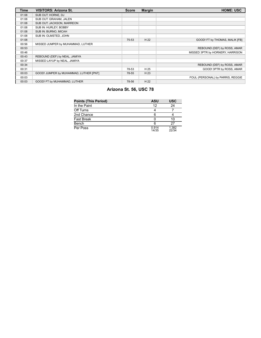| <b>Time</b> | <b>VISITORS: Arizona St.</b>           | <b>Score</b> | <b>Margin</b> | <b>HOME: USC</b>                  |
|-------------|----------------------------------------|--------------|---------------|-----------------------------------|
| 01:08       | SUB OUT: HORNE, DJ                     |              |               |                                   |
| 01:08       | SUB OUT: GRAHAM, JALEN                 |              |               |                                   |
| 01:08       | SUB OUT: JACKSON, MARREON              |              |               |                                   |
| 01:08       | SUB IN: HURLEY, BOBBY                  |              |               |                                   |
| 01:08       | SUB IN: BURNO, MICAH                   |              |               |                                   |
| 01:08       | SUB IN: OLMSTED, JOHN                  |              |               |                                   |
| 01:08       |                                        | 75-53        | H 22          | GOOD! FT by THOMAS, MALIK [FB]    |
| 00:56       | MISSED JUMPER by MUHAMMAD, LUTHER      |              |               |                                   |
| 00:53       |                                        |              |               | REBOUND (DEF) by ROSS, AMAR       |
| 00:46       |                                        |              |               | MISSED 3PTR by HORNERY, HARRISON  |
| 00:43       | REBOUND (DEF) by NEAL, JAMIYA          |              |               |                                   |
| 00:37       | MISSED LAYUP by NEAL, JAMIYA           |              |               |                                   |
| 00:34       |                                        |              |               | REBOUND (DEF) by ROSS, AMAR       |
| 00:31       |                                        | 78-53        | H 25          | GOOD! 3PTR by ROSS, AMAR          |
| 00:03       | GOOD! JUMPER by MUHAMMAD, LUTHER [PNT] | 78-55        | H 23          |                                   |
| 00:03       |                                        |              |               | FOUL (PERSONAL) by PARRIS, REGGIE |
| 00:03       | GOOD! FT by MUHAMMAD, LUTHER           | 78-56        | H 22          |                                   |

# **Arizona St. 56, USC 78**

| <b>Points (This Period)</b> | <b>ASU</b>     | <b>USC</b>     |
|-----------------------------|----------------|----------------|
| In the Paint                | 12             | 24             |
| Off Turns                   |                |                |
| 2nd Chance                  |                |                |
| <b>Fast Break</b>           |                | 10             |
| Bench                       |                | 27             |
| Per Poss                    | 0.914<br>14/35 | 1.382<br>22/34 |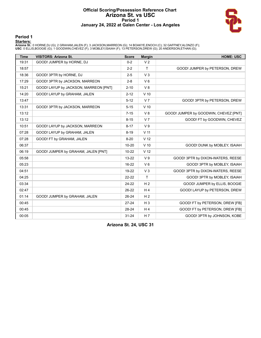#### **Official Scoring/Possession Reference Chart Arizona St. vs USC Period 1 January 24, 2022 at Galen Center - Los Angeles**



### **Period 1**

<mark>Starters:</mark><br>Arizona St.: 0 HORNE,DJ (G); 2 GRAHAM,JALEN (F); 3 JACKSON,MARREON (G); 14 BOAKYE,ENOCH (C); 32 GAFFNEY,ALONZO (F);<br>USC: 0 ELLIS,BOOGIE (G); 1 GOODWIN,CHEVEZ (F); 3 MOBLEY,ISAIAH (F); 13 PETERSON,DREW (G); 20 A

| <b>Time</b> | <b>VISITORS: Arizona St.</b>          | <b>Score</b> | <b>Margin</b>   | <b>HOME: USC</b>                      |
|-------------|---------------------------------------|--------------|-----------------|---------------------------------------|
| 19:31       | GOOD! JUMPER by HORNE, DJ             | $0 - 2$      | V <sub>2</sub>  |                                       |
| 18:57       |                                       | $2 - 2$      | T               | GOOD! JUMPER by PETERSON, DREW        |
| 18:36       | GOOD! 3PTR by HORNE, DJ               | $2 - 5$      | V <sub>3</sub>  |                                       |
| 17:29       | GOOD! 3PTR by JACKSON, MARREON        | $2 - 8$      | $V_6$           |                                       |
| 15:21       | GOOD! LAYUP by JACKSON, MARREON [PNT] | $2 - 10$     | V8              |                                       |
| 14:20       | GOOD! LAYUP by GRAHAM, JALEN          | $2 - 12$     | $V$ 10          |                                       |
| 13:47       |                                       | $5 - 12$     | V <sub>7</sub>  | GOOD! 3PTR by PETERSON, DREW          |
| 13:31       | GOOD! 3PTR by JACKSON, MARREON        | $5 - 15$     | $V$ 10          |                                       |
| 13:12       |                                       | $7 - 15$     | V8              | GOOD! JUMPER by GOODWIN, CHEVEZ [PNT] |
| 13:12       |                                       | $8 - 15$     | V <sub>7</sub>  | GOOD! FT by GOODWIN, CHEVEZ           |
| 10:51       | GOOD! LAYUP by JACKSON, MARREON       | $8 - 17$     | V <sub>9</sub>  |                                       |
| 07:28       | GOOD! LAYUP by GRAHAM, JALEN          | $8 - 19$     | V <sub>11</sub> |                                       |
| 07:28       | GOOD! FT by GRAHAM, JALEN             | $8 - 20$     | V <sub>12</sub> |                                       |
| 06:37       |                                       | $10 - 20$    | $V$ 10          | GOOD! DUNK by MOBLEY, ISAIAH          |
| 06:19       | GOOD! JUMPER by GRAHAM, JALEN [PNT]   | $10 - 22$    | V <sub>12</sub> |                                       |
| 05:58       |                                       | $13 - 22$    | V <sub>9</sub>  | GOOD! 3PTR by DIXON-WATERS, REESE     |
| 05:23       |                                       | 16-22        | $V_6$           | GOOD! 3PTR by MOBLEY, ISAIAH          |
| 04:51       |                                       | 19-22        | V <sub>3</sub>  | GOOD! 3PTR by DIXON-WATERS, REESE     |
| 04:25       |                                       | $22 - 22$    | $\mathsf{T}$    | GOOD! 3PTR by MOBLEY, ISAIAH          |
| 03:34       |                                       | $24-22$      | H <sub>2</sub>  | GOOD! JUMPER by ELLIS, BOOGIE         |
| 02:47       |                                       | 26-22        | H <sub>4</sub>  | GOOD! LAYUP by PETERSON, DREW         |
| 01:14       | GOOD! JUMPER by GRAHAM, JALEN         | $26 - 24$    | H <sub>2</sub>  |                                       |
| 00:45       |                                       | $27 - 24$    | $H_3$           | GOOD! FT by PETERSON, DREW [FB]       |
| 00:45       |                                       | 28-24        | H <sub>4</sub>  | GOOD! FT by PETERSON, DREW [FB]       |
| 00:05       |                                       | $31 - 24$    | H 7             | GOOD! 3PTR by JOHNSON, KOBE           |

**Arizona St. 24, USC 31**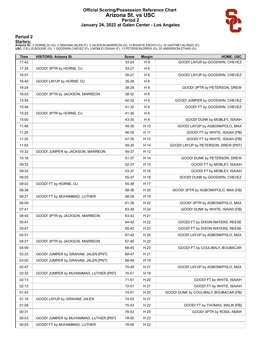#### **Official Scoring/Possession Reference Chart Arizona St. vs USC Period 2 January 24, 2022 at Galen Center - Los Angeles**



### **Period 2**

<mark>Starters:</mark><br>Arizona St.: 0 HORNE,DJ (G); 2 GRAHAM,JALEN (F); 3 JACKSON,MARREON (G); 14 BOAKYE,ENOCH (C); 32 GAFFNEY,ALONZO (F);<br>USC: 0 ELLIS,BOOGIE (G); 1 GOODWIN,CHEVEZ (F); 3 MOBLEY,ISAIAH (F); 13 PETERSON,DREW (G); 20 A

| <b>Time</b> | <b>VISITORS: Arizona St.</b>           | <b>Score</b> | <b>Margin</b>  | <b>HOME: USC</b>                       |
|-------------|----------------------------------------|--------------|----------------|----------------------------------------|
| 17:42       |                                        | 33-24        | H <sub>9</sub> | GOOD! LAYUP by GOODWIN, CHEVEZ         |
| 17:24       | GOOD! 3PTR by HORNE, DJ                | 33-27        | H <sub>6</sub> |                                        |
| 16:57       |                                        | 35-27        | H <sub>8</sub> | GOOD! LAYUP by GOODWIN, CHEVEZ         |
| 16:40       | GOOD! LAYUP by HORNE, DJ               | 35-29        | H <sub>6</sub> |                                        |
| 16:24       |                                        | 38-29        | H <sub>9</sub> | GOOD! 3PTR by PETERSON, DREW           |
| 16:03       | GOOD! 3PTR by JACKSON, MARREON         | 38-32        | H <sub>6</sub> |                                        |
| 15:54       |                                        | 40-32        | H <sub>8</sub> | GOOD! JUMPER by GOODWIN, CHEVEZ        |
| 15:54       |                                        | 41-32        | H <sub>9</sub> | GOOD! FT by GOODWIN, CHEVEZ            |
| 15:25       | GOOD! 3PTR by HORNE, DJ                | 41-35        | H <sub>6</sub> |                                        |
| 15:00       |                                        | 43-35        | H <sub>8</sub> | GOOD! DUNK by MOBLEY, ISAIAH           |
| 11:48       |                                        | 45-35        | H 10           | GOOD! LAYUP by AGBONKPOLO, MAX         |
| 11:25       |                                        | 46-35        | H 11           | GOOD! FT by WHITE, ISAIAH [FB]         |
| 11:25       |                                        | 47-35        | H 12           | GOOD! FT by WHITE, ISAIAH [FB]         |
| 11:03       |                                        | 49-35        | H 14           | GOOD! LAYUP by PETERSON, DREW [PNT]    |
| 10:32       | GOOD! JUMPER by JACKSON, MARREON       | 49-37        | H 12           |                                        |
| 10:16       |                                        | 51-37        | H 14           | GOOD! DUNK by PETERSON, DREW           |
| 09:32       |                                        | 52-37        | H 15           | GOOD! FT by MOBLEY, ISAIAH             |
| 09:32       |                                        | 53-37        | H 16           | GOOD! FT by MOBLEY, ISAIAH             |
| 09:03       |                                        | 55-37        | H 18           | GOOD! DUNK by GOODWIN, CHEVEZ          |
| 09:02       | GOOD! FT by HORNE, DJ                  | 55-38        | H 17           |                                        |
| 08:36       |                                        | 58-38        | H 20           | GOOD! 3PTR by AGBONKPOLO, MAX [FB]     |
| 08:21       | GOOD! FT by MUHAMMAD, LUTHER           | 58-39        | H 19           |                                        |
| 08:09       |                                        | 61-39        | H 22           | GOOD! 3PTR by AGBONKPOLO, MAX          |
| 07:41       |                                        | 63-39        | H 24           | GOOD! DUNK by WHITE, ISAIAH [FB]       |
| 06:40       | GOOD! 3PTR by JACKSON, MARREON         | 63-42        | H 21           |                                        |
| 05:47       |                                        | 64-42        | H 22           | GOOD! FT by DIXON-WATERS, REESE        |
| 05:47       |                                        | 65-42        | H 23           | GOOD! FT by DIXON-WATERS, REESE        |
| 04:51       |                                        | 67-42        | H 25           | GOOD! LAYUP by AGBONKPOLO, MAX         |
| 04:27       | GOOD! 3PTR by JACKSON, MARREON         | 67-45        | H 22           |                                        |
| 04:09       |                                        | 68-45        | H 23           | GOOD! FT by COULIBALY, BOUBACAR        |
| 03:33       | GOOD! JUMPER by GRAHAM, JALEN [PNT]    | 68-47        | H 21           |                                        |
| 03:00       | GOOD! JUMPER by GRAHAM, JALEN [PNT]    | 68-49        | H 19           |                                        |
| 02:47       |                                        | 70-49        | H 21           | GOOD! LAYUP by AGBONKPOLO, MAX         |
| 02:32       | GOOD! JUMPER by MUHAMMAD, LUTHER [PNT] | 70-51        | H 19           |                                        |
| 02:13       |                                        | $71 - 51$    | H 20           | GOOD! FT by WHITE, ISAIAH              |
| 02:13       |                                        | 72-51        | H 21           | GOOD! FT by WHITE, ISAIAH              |
| 01:43       |                                        | 74-51        | H 23           | GOOD! DUNK by COULIBALY, BOUBACAR [FB] |
| 01:19       | GOOD! LAYUP by GRAHAM, JALEN           | 74-53        | H 21           |                                        |
| 01:08       |                                        | 75-53        | H 22           | GOOD! FT by THOMAS, MALIK [FB]         |
| 00:31       |                                        | 78-53        | H 25           | GOOD! 3PTR by ROSS, AMAR               |
| 00:03       | GOOD! JUMPER by MUHAMMAD, LUTHER [PNT] | 78-55        | H 23           |                                        |
| 00:03       | GOOD! FT by MUHAMMAD, LUTHER           | 78-56        | H 22           |                                        |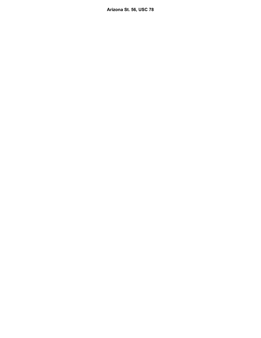**Arizona St. 56, USC 78**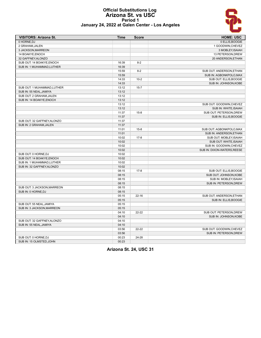#### **Official Substitutions Log Arizona St. vs USC Period 1 January 24, 2022 at Galen Center - Los Angeles**



| <b>VISITORS: Arizona St.</b> | <b>Time</b> | <b>Score</b> | <b>HOME: USC</b>            |
|------------------------------|-------------|--------------|-----------------------------|
| 0 HORNE.DJ                   |             |              | 0 ELLIS, BOOGIE             |
| 2 GRAHAM.JALEN               |             |              | 1 GOODWIN, CHEVEZ           |
| 3 JACKSON, MARREON           |             |              | 3 MOBLEY, ISAIAH            |
| 14 BOAKYE, ENOCH             |             |              | 13 PETERSON, DREW           |
| 32 GAFFNEY, ALONZO           |             |              | 20 ANDERSON, ETHAN          |
| SUB OUT: 14 BOAKYE, ENOCH    | 16:39       | $8 - 2$      |                             |
| SUB IN: 1 MUHAMMAD, LUTHER   | 16:39       |              |                             |
|                              | 15:59       | $8 - 2$      | SUB OUT: ANDERSON, ETHAN    |
|                              | 15:59       |              | SUB IN: AGBONKPOLO, MAX     |
|                              | 14:33       | $10 - 2$     | SUB OUT: ELLIS, BOOGIE      |
|                              | 14:33       |              | SUB IN: JOHNSON, KOBE       |
| SUB OUT: 1 MUHAMMAD, LUTHER  | 13:12       | $15 - 7$     |                             |
| SUB IN: 55 NEAL, JAMIYA      | 13:12       |              |                             |
| SUB OUT: 2 GRAHAM, JALEN     | 13:12       |              |                             |
| SUB IN: 14 BOAKYE, ENOCH     | 13:12       |              |                             |
|                              | 13:12       |              | SUB OUT: GOODWIN, CHEVEZ    |
|                              | 13:12       |              | SUB IN: WHITE, ISAIAH       |
|                              | 11:37       | $15 - 8$     | SUB OUT: PETERSON, DREW     |
|                              | 11:37       |              | SUB IN: ELLIS, BOOGIE       |
| SUB OUT: 32 GAFFNEY, ALONZO  | 11:37       |              |                             |
| SUB IN: 2 GRAHAM, JALEN      | 11:37       |              |                             |
|                              | 11:01       | $15 - 8$     | SUB OUT: AGBONKPOLO, MAX    |
|                              | 11:01       |              | SUB IN: ANDERSON, ETHAN     |
|                              | 10:02       | $17-8$       | SUB OUT: MOBLEY.ISAIAH      |
|                              | 10:02       |              | SUB OUT: WHITE, ISAIAH      |
|                              | 10:02       |              | SUB IN: GOODWIN, CHEVEZ     |
|                              | 10:02       |              | SUB IN: DIXON-WATERS, REESE |
| SUB OUT: 0 HORNE, DJ         | 10:02       |              |                             |
| SUB OUT: 14 BOAKYE, ENOCH    | 10:02       |              |                             |
| SUB IN: 1 MUHAMMAD, LUTHER   | 10:02       |              |                             |
| SUB IN: 32 GAFFNEY, ALONZO   | 10:02       |              |                             |
|                              | 08:15       | $17-8$       | SUB OUT: ELLIS, BOOGIE      |
|                              | 08:15       |              | SUB OUT: JOHNSON, KOBE      |
|                              | 08:15       |              | SUB IN: MOBLEY, ISAIAH      |
|                              | 08:15       |              | SUB IN: PETERSON, DREW      |
| SUB OUT: 3 JACKSON, MARREON  | 08:15       |              |                             |
| SUB IN: 0 HORNE, DJ          | 08:15       |              |                             |
|                              | 05:15       | $22 - 16$    | SUB OUT: ANDERSON, ETHAN    |
|                              | 05:15       |              | SUB IN: ELLIS, BOOGIE       |
| SUB OUT: 55 NEAL, JAMIYA     | 05:15       |              |                             |
| SUB IN: 3 JACKSON.MARREON    | 05:15       |              |                             |
|                              | 04:10       | 22-22        | SUB OUT: PETERSON, DREW     |
|                              | 04:10       |              | SUB IN: JOHNSON, KOBE       |
| SUB OUT: 32 GAFFNEY, ALONZO  | 04:10       |              |                             |
| SUB IN: 55 NEAL, JAMIYA      | 04:10       |              |                             |
|                              | 03:56       | $22 - 22$    | SUB OUT: GOODWIN, CHEVEZ    |
|                              | 03:56       |              | SUB IN: PETERSON, DREW      |
| SUB OUT: 0 HORNE, DJ         | 00:23       | 24-28        |                             |
| SUB IN: 15 OLMSTED, JOHN     | 00:23       |              |                             |

**Arizona St. 24, USC 31**